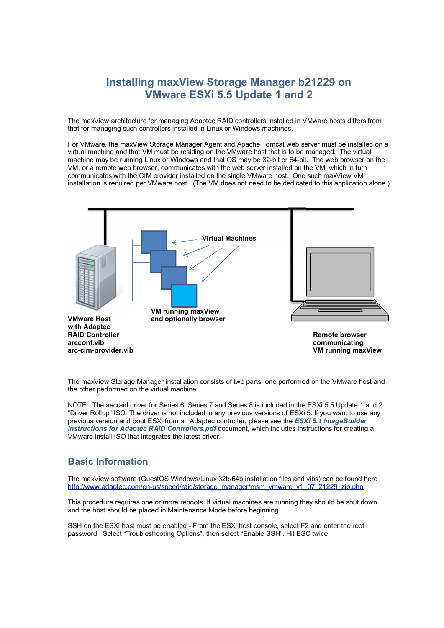# **Installing maxView Storage Manager b21229 on VMware ESXi 5.5 Update 1 and 2**

The maxView architecture for managing Adaptec RAID controllers installed in VMware hosts differs from that for managing such controllers installed in Linux or Windows machines.

For VMware, the maxView Storage Manager Agent and Apache Tomcat web server must be installed on a virtual machine and that VM must be residing on the VMware host that is to be managed. The virtual machine may be running Linux or Windows and that OS may be 32-bit or 64-bit. The web browser on the VM, or a remote web browser, communicates with the web server installed on the VM, which in turn communicates with the CIM provider installed on the single VMware host. One such maxView VM installation is required per VMware host. (The VM does not need to be dedicated to this application alone.)



The maxView Storage Manager installation consists of two parts, one performed on the VMware host and the other performed on the virtual machine.

NOTE: The aacraid driver for Series 6, Series 7 and Series 8 is included in the ESXi 5.5 Update 1 and 2 "Driver Rollup" ISO. The driver is not included in any previous versions of ESXi 5. If you want to use any previous version and boot ESXi from an Adaptec controller, please see the *ESXi 5.1 ImageBuilder Instructions for Adaptec RAID Controllers.pdf* document, which includes instructions for creating a VMware install ISO that integrates the latest driver.

# **Basic Information**

The maxView software (GuestOS Windows/Linux 32b/64b installation files and vibs) can be found here http://www.adaptec.com/en-us/speed/raid/storage\_manager/msm\_vmware\_v1\_07\_21229\_zip.php

This procedure requires one or more reboots. If virtual machines are running they should be shut down and the host should be placed in Maintenance Mode before beginning.

SSH on the ESXi host must be enabled - From the ESXi host console, select F2 and enter the root password. Select "Troubleshooting Options", then select "Enable SSH". Hit ESC twice.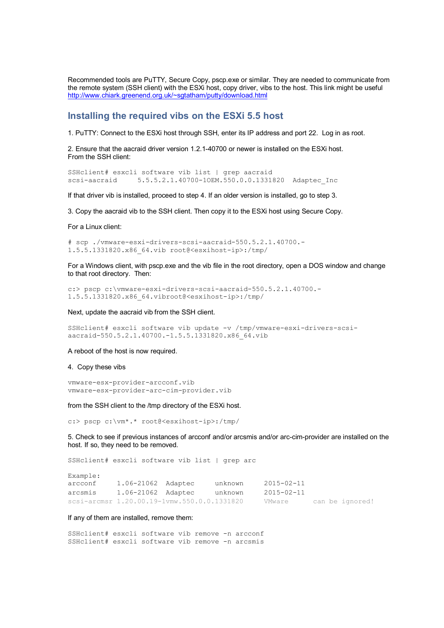Recommended tools are PuTTY, Secure Copy, pscp.exe or similar. They are needed to communicate from the remote system (SSH client) with the ESXi host, copy driver, vibs to the host. This link might be useful http://www.chiark.greenend.org.uk/~sgtatham/putty/download.html

### **Installing the required vibs on the ESXi 5.5 host**

1. PuTTY: Connect to the ESXi host through SSH, enter its IP address and port 22. Log in as root.

2. Ensure that the aacraid driver version 1.2.1-40700 or newer is installed on the ESXi host. From the SSH client:

SSHclient# esxcli software vib list | grep aacraid scsi-aacraid 5.5.5.2.1.40700-1OEM.550.0.0.1331820 Adaptec\_Inc

If that driver vib is installed, proceed to step 4. If an older version is installed, go to step 3.

3. Copy the aacraid vib to the SSH client. Then copy it to the ESXi host using Secure Copy.

For a Linux client:

# scp ./vmware-esxi-drivers-scsi-aacraid-550.5.2.1.40700.- 1.5.5.1331820.x86\_64.vib root@<esxihost-ip>:/tmp/

For a Windows client, with pscp.exe and the vib file in the root directory, open a DOS window and change to that root directory. Then:

c:> pscp c:\vmware-esxi-drivers-scsi-aacraid-550.5.2.1.40700.- 1.5.5.1331820.x86\_64.vibroot@<esxihost-ip>:/tmp/

Next, update the aacraid vib from the SSH client.

SSHclient# esxcli software vib update -v /tmp/vmware-esxi-drivers-scsiaacraid-550.5.2.1.40700.-1.5.5.1331820.x86\_64.vib

A reboot of the host is now required.

#### 4. Copy these vibs

vmware-esx-provider-arcconf.vib vmware-esx-provider-arc-cim-provider.vib

from the SSH client to the /tmp directory of the ESXi host.

c:> pscp c:\vm\*.\* root@<esxihost-ip>:/tmp/

5. Check to see if previous instances of arcconf and/or arcsmis and/or arc-cim-provider are installed on the host. If so, they need to be removed.

SSHclient# esxcli software vib list | grep arc

| Example: |                                             |         |            |  |                 |
|----------|---------------------------------------------|---------|------------|--|-----------------|
| arcconf  | 1.06-21062 Adaptec                          | unknown | 2015-02-11 |  |                 |
| arcsmis  | 1.06-21062 Adaptec                          | unknown | 2015-02-11 |  |                 |
|          | scsi-arcmsr 1.20.00.19-1vmw.550.0.0.1331820 |         | VMware     |  | can be ignored! |

#### If any of them are installed, remove them:

SSHclient# esxcli software vib remove -n arcconf SSHclient# esxcli software vib remove -n arcsmis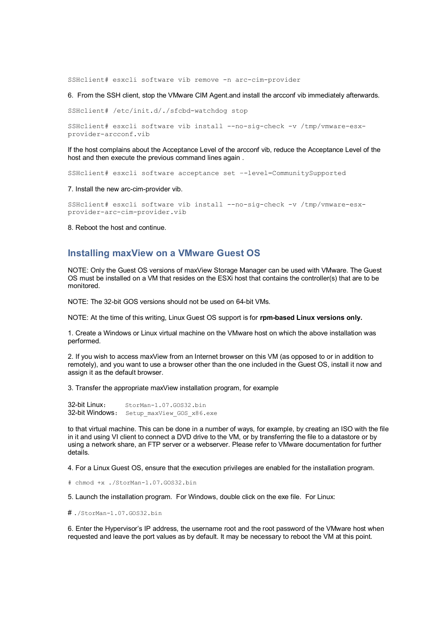SSHclient# esxcli software vib remove -n arc-cim-provider

6. From the SSH client, stop the VMware CIM Agent.and install the arcconf vib immediately afterwards.

SSHclient# /etc/init.d/./sfcbd-watchdog stop

SSHclient# esxcli software vib install --no-sig-check -v /tmp/vmware-esxprovider-arcconf.vib

If the host complains about the Acceptance Level of the arcconf vib, reduce the Acceptance Level of the host and then execute the previous command lines again .

SSHclient# esxcli software acceptance set –-level=CommunitySupported

7. Install the new arc-cim-provider vib.

SSHclient# esxcli software vib install --no-sig-check -v /tmp/vmware-esxprovider-arc-cim-provider.vib

8. Reboot the host and continue.

### **Installing maxView on a VMware Guest OS**

NOTE: Only the Guest OS versions of maxView Storage Manager can be used with VMware. The Guest OS must be installed on a VM that resides on the ESXi host that contains the controller(s) that are to be monitored.

NOTE: The 32-bit GOS versions should not be used on 64-bit VMs.

NOTE: At the time of this writing, Linux Guest OS support is for **rpm-based Linux versions only.**

1. Create a Windows or Linux virtual machine on the VMware host on which the above installation was performed.

2. If you wish to access maxView from an Internet browser on this VM (as opposed to or in addition to remotely), and you want to use a browser other than the one included in the Guest OS, install it now and assign it as the default browser.

3. Transfer the appropriate maxView installation program, for example

32-bit Linux: StorMan-1.07.GOS32.bin 32-bit Windows: Setup maxView\_GOS\_x86.exe

to that virtual machine. This can be done in a number of ways, for example, by creating an ISO with the file in it and using VI client to connect a DVD drive to the VM, or by transferring the file to a datastore or by using a network share, an FTP server or a webserver. Please refer to VMware documentation for further details.

4. For a Linux Guest OS, ensure that the execution privileges are enabled for the installation program.

# chmod +x ./StorMan-1.07.GOS32.bin

5. Launch the installation program. For Windows, double click on the exe file. For Linux:

# ./StorMan-1.07.GOS32.bin

6. Enter the Hypervisor's IP address, the username root and the root password of the VMware host when requested and leave the port values as by default. It may be necessary to reboot the VM at this point.